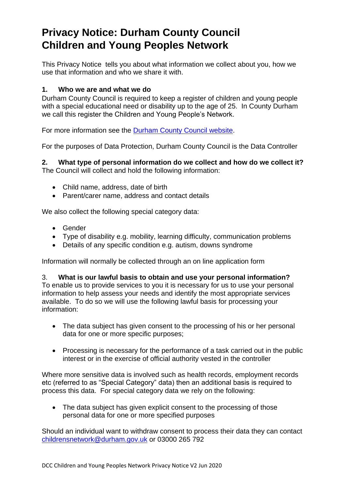# **Privacy Notice: Durham County Council Children and Young Peoples Network**

This Privacy Notice tells you about what information we collect about you, how we use that information and who we share it with.

### **1. Who we are and what we do**

Durham County Council is required to keep a register of children and young people with a special educational need or disability up to the age of 25. In County Durham we call this register the Children and Young People's Network.

For more information see the [Durham County Council website.](http://www.durham.gov.uk/cypn)

For the purposes of Data Protection, Durham County Council is the Data Controller

**2. What type of personal information do we collect and how do we collect it?**  The Council will collect and hold the following information:

- Child name, address, date of birth
- Parent/carer name, address and contact details

We also collect the following special category data:

- Gender
- Type of disability e.g. mobility, learning difficulty, communication problems
- Details of any specific condition e.g. autism, downs syndrome

Information will normally be collected through an on line application form

#### 3. **What is our lawful basis to obtain and use your personal information?**

To enable us to provide services to you it is necessary for us to use your personal information to help assess your needs and identify the most appropriate services available. To do so we will use the following lawful basis for processing your information:

- The data subject has given consent to the processing of his or her personal data for one or more specific purposes;
- Processing is necessary for the performance of a task carried out in the public interest or in the exercise of official authority vested in the controller

Where more sensitive data is involved such as health records, employment records etc (referred to as "Special Category" data) then an additional basis is required to process this data. For special category data we rely on the following:

• The data subject has given explicit consent to the processing of those personal data for one or more specified purposes

Should an individual want to withdraw consent to process their data they can contact [childrensnetwork@durham.gov.uk](mailto:childrensnetwork@durham.gov.uk) or 03000 265 792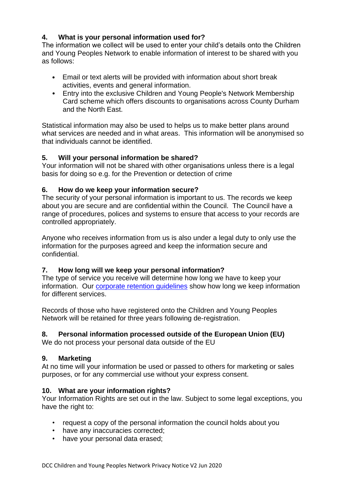## **4. What is your personal information used for?**

The information we collect will be used to enter your child's details onto the Children and Young Peoples Network to enable information of interest to be shared with you as follows:

- Email or text alerts will be provided with information about short break activities, events and general information.
- Entry into the exclusive Children and Young People's Network Membership Card scheme which offers discounts to organisations across County Durham and the North East.

Statistical information may also be used to helps us to make better plans around what services are needed and in what areas. This information will be anonymised so that individuals cannot be identified.

## **5. Will your personal information be shared?**

Your information will not be shared with other organisations unless there is a legal basis for doing so e.g. for the Prevention or detection of crime

#### **6. How do we keep your information secure?**

The security of your personal information is important to us. The records we keep about you are secure and are confidential within the Council. The Council have a range of procedures, polices and systems to ensure that access to your records are controlled appropriately.

Anyone who receives information from us is also under a legal duty to only use the information for the purposes agreed and keep the information secure and confidential.

## **7. How long will we keep your personal information?**

The type of service you receive will determine how long we have to keep your information. Our corporate retention quidelines show how long we keep information for different services.

Records of those who have registered onto the Children and Young Peoples Network will be retained for three years following de-registration.

## **8. Personal information processed outside of the European Union (EU)**

We do not process your personal data outside of the EU

#### **9. Marketing**

At no time will your information be used or passed to others for marketing or sales purposes, or for any commercial use without your express consent.

#### **10. What are your information rights?**

Your Information Rights are set out in the law. Subject to some legal exceptions, you have the right to:

- request a copy of the personal information the council holds about you
- have any inaccuracies corrected;
- have your personal data erased;